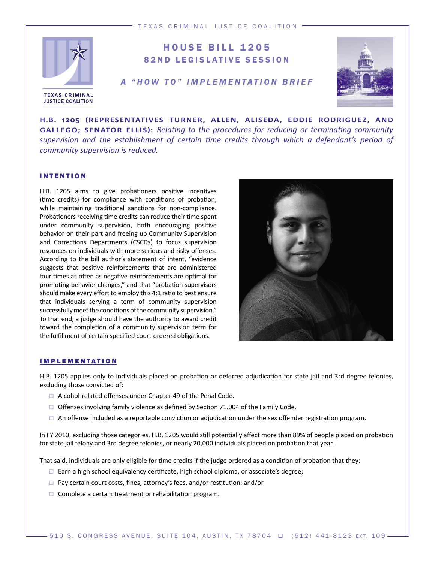

**JUSTICE COALITION** 

# HOUSE BILL 1205 82ND LEGISLATIVE SESSION

## *A "HOW TO" IMPLEMENTATION BRIEF*



**H.B. λμκο ΈREPRESENTATIVES TURNER, ALLEN, ALISEDA, EDDIE RODRIGUEZ, AND GALLEGO; SENATOR ELLIS):** Relating to the procedures for reducing or terminating community supervision and the establishment of certain time credits through which a defendant's period of *community supervision is reduced.*

### INTENTION

H.B. 1205 aims to give probationers positive incentives (time credits) for compliance with conditions of probation, while maintaining traditional sanctions for non-compliance. Probationers receiving time credits can reduce their time spent under community supervision, both encouraging positive behavior on their part and freeing up Community Supervision and Corrections Departments (CSCDs) to focus supervision resources on individuals with more serious and risky offenses. According to the bill author's statement of intent, "evidence suggests that positive reinforcements that are administered four times as often as negative reinforcements are optimal for promoting behavior changes," and that "probation supervisors should make every effort to employ this 4:1 ratio to best ensure that individuals serving a term of community supervision successfully meet the conditions of the community supervision." To that end, a judge should have the authority to award credit toward the completion of a community supervision term for the fulfillment of certain specified court-ordered obligations.



#### IMPLEMENTATION

H.B. 1205 applies only to individuals placed on probation or deferred adjudication for state jail and 3rd degree felonies, excluding those convicted of:

- $\Box$  Alcohol-related offenses under Chapter 49 of the Penal Code.
- $\Box$  Offenses involving family violence as defined by Section 71.004 of the Family Code.
- $\Box$  An offense included as a reportable conviction or adjudication under the sex offender registration program.

In FY 2010, excluding those categories, H.B. 1205 would still potentially affect more than 89% of people placed on probation for state jail felony and 3rd degree felonies, or nearly 20,000 individuals placed on probation that year.

That said, individuals are only eligible for time credits if the judge ordered as a condition of probation that they:

- $\square$  Earn a high school equivalency certificate, high school diploma, or associate's degree;
- $\Box$  Pay certain court costs, fines, attorney's fees, and/or restitution; and/or
- $\Box$  Complete a certain treatment or rehabilitation program.